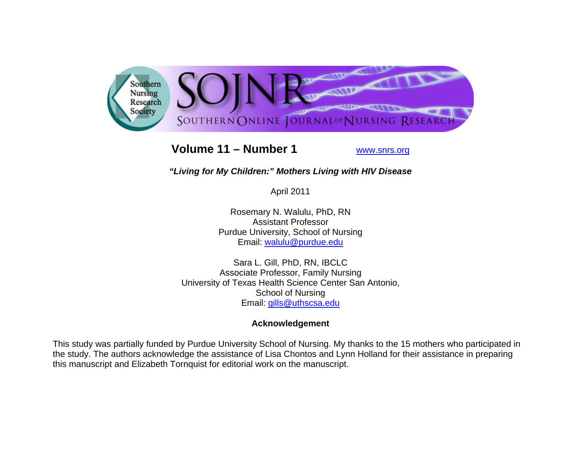

# **Volume 11 – Number 1**

www.snrs.org

# *"Living for My Children:" Mothers Living with HIV Disease*

April 2011

Rosemary N. Walulu, PhD, RN Assistant Professor Purdue University, School of Nursing Email: walulu@purdue.edu

Sara L. Gill, PhD, RN, IBCLC Associate Professor, Family Nursing University of Texas Health Science Center San Antonio, School of Nursing Email: gills@uthscsa.edu

# **Acknowledgement**

This study was partially funded by Purdue University School of Nursing. My thanks to the 15 mothers who participated in the study. The authors acknowledge the assistance of Lisa Chontos and Lynn Holland for their assistance in preparing this manuscript and Elizabeth Tornquist for editorial work on the manuscript.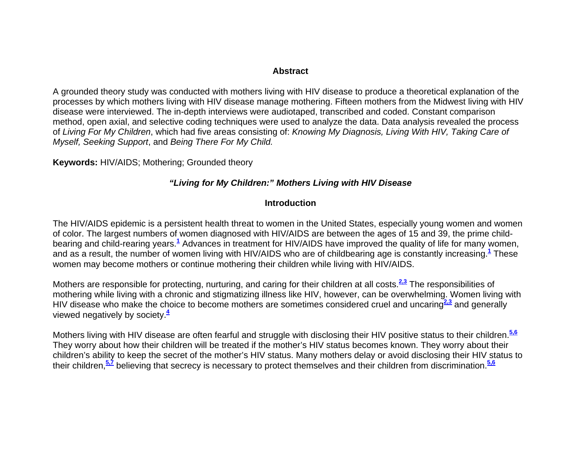#### **Abstract**

A grounded theory study was conducted with mothers living with HIV disease to produce a theoretical explanation of the processes by which mothers living with HIV disease manage mothering. Fifteen mothers from the Midwest living with HIV disease were interviewed. The in-depth interviews were audiotaped, transcribed and coded. Constant comparison method, open axial, and selective coding techniques were used to analyze the data. Data analysis revealed the process of *Living For My Children*, which had five areas consisting of: *Knowing My Diagnosis, Living With HIV, Taking Care of Myself, Seeking Support*, and *Being There For My Child.*

**Keywords:** HIV/AIDS; Mothering; Grounded theory

#### *"Living for My Children:" Mothers Living with HIV Disease*

#### **Introduction**

The HIV/AIDS epidemic is a persistent health threat to women in the United States, especially young women and women of color. The largest numbers of women diagnosed with HIV/AIDS are between the ages of 15 and 39, the prime childbearing and child-rearing years.**<sup>1</sup>** Advances in treatment for HIV/AIDS have improved the quality of life for many women, and as a result, the number of women living with HIV/AIDS who are of childbearing age is constantly increasing.**<sup>1</sup>** These women may become mothers or continue mothering their children while living with HIV/AIDS.

Mothers are responsible for protecting, nurturing, and caring for their children at all costs.**2,3** The responsibilities of mothering while living with a chronic and stigmatizing illness like HIV, however, can be overwhelming. Women living with HIV disease who make the choice to become mothers are sometimes considered cruel and uncaring<sup>2,3</sup> and generally viewed negatively by society.**<sup>4</sup>**

Mothers living with HIV disease are often fearful and struggle with disclosing their HIV positive status to their children.**5,6** They worry about how their children will be treated if the mother's HIV status becomes known. They worry about their children's ability to keep the secret of the mother's HIV status. Many mothers delay or avoid disclosing their HIV status to their children,**5,7** believing that secrecy is necessary to protect themselves and their children from discrimination.**5,6**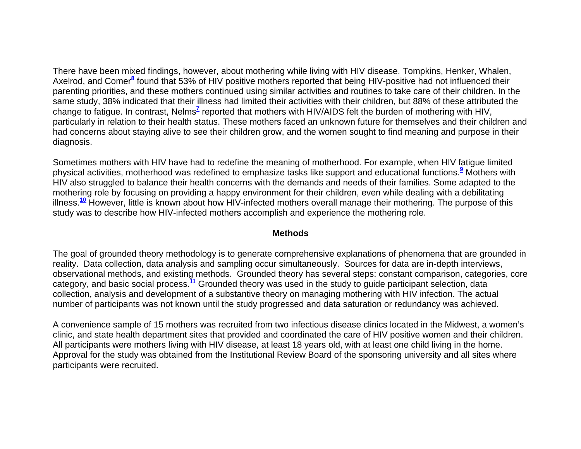There have been mixed findings, however, about mothering while living with HIV disease. Tompkins, Henker, Whalen, Axelrod, and Comer<sup>8</sup> found that 53% of HIV positive mothers reported that being HIV-positive had not influenced their parenting priorities, and these mothers continued using similar activities and routines to take care of their children. In the same study, 38% indicated that their illness had limited their activities with their children, but 88% of these attributed the change to fatigue. In contrast, Nelms<sup>7</sup> reported that mothers with HIV/AIDS felt the burden of mothering with HIV, particularly in relation to their health status. These mothers faced an unknown future for themselves and their children and had concerns about staying alive to see their children grow, and the women sought to find meaning and purpose in their diagnosis.

Sometimes mothers with HIV have had to redefine the meaning of motherhood. For example, when HIV fatigue limited physical activities, motherhood was redefined to emphasize tasks like support and educational functions.**<sup>9</sup>** Mothers with HIV also struggled to balance their health concerns with the demands and needs of their families. Some adapted to the mothering role by focusing on providing a happy environment for their children, even while dealing with a debilitating illness.**<sup>10</sup>** However, little is known about how HIV-infected mothers overall manage their mothering. The purpose of this study was to describe how HIV-infected mothers accomplish and experience the mothering role.

#### **Methods**

The goal of grounded theory methodology is to generate comprehensive explanations of phenomena that are grounded in reality. Data collection, data analysis and sampling occur simultaneously. Sources for data are in-depth interviews, observational methods, and existing methods. Grounded theory has several steps: constant comparison, categories, core category, and basic social process.**<sup>11</sup>** Grounded theory was used in the study to guide participant selection, data collection, analysis and development of a substantive theory on managing mothering with HIV infection. The actual number of participants was not known until the study progressed and data saturation or redundancy was achieved.

A convenience sample of 15 mothers was recruited from two infectious disease clinics located in the Midwest, a women's clinic, and state health department sites that provided and coordinated the care of HIV positive women and their children. All participants were mothers living with HIV disease, at least 18 years old, with at least one child living in the home. Approval for the study was obtained from the Institutional Review Board of the sponsoring university and all sites where participants were recruited.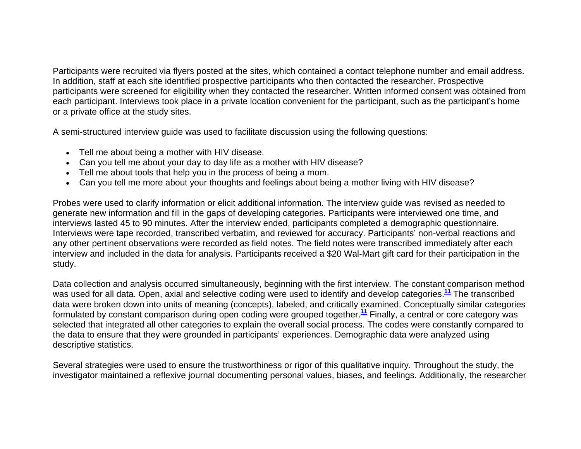Participants were recruited via flyers posted at the sites, which contained a contact telephone number and email address. In addition, staff at each site identified prospective participants who then contacted the researcher. Prospective participants were screened for eligibility when they contacted the researcher. Written informed consent was obtained from each participant. Interviews took place in a private location convenient for the participant, such as the participant's home or a private office at the study sites.

A semi-structured interview guide was used to facilitate discussion using the following questions:

- Tell me about being a mother with HIV disease.
- Can you tell me about your day to day life as a mother with HIV disease?
- Tell me about tools that help you in the process of being a mom.
- Can you tell me more about your thoughts and feelings about being a mother living with HIV disease?

Probes were used to clarify information or elicit additional information. The interview guide was revised as needed to generate new information and fill in the gaps of developing categories. Participants were interviewed one time, and interviews lasted 45 to 90 minutes. After the interview ended, participants completed a demographic questionnaire. Interviews were tape recorded, transcribed verbatim, and reviewed for accuracy. Participants' non-verbal reactions and any other pertinent observations were recorded as field notes. The field notes were transcribed immediately after each interview and included in the data for analysis. Participants received a \$20 Wal-Mart gift card for their participation in the study.

Data collection and analysis occurred simultaneously, beginning with the first interview. The constant comparison method was used for all data. Open, axial and selective coding were used to identify and develop categories.**<sup>11</sup>** The transcribed data were broken down into units of meaning (concepts), labeled, and critically examined. Conceptually similar categories formulated by constant comparison during open coding were grouped together.**<sup>11</sup>** Finally, a central or core category was selected that integrated all other categories to explain the overall social process. The codes were constantly compared to the data to ensure that they were grounded in participants' experiences. Demographic data were analyzed using descriptive statistics.

Several strategies were used to ensure the trustworthiness or rigor of this qualitative inquiry. Throughout the study, the investigator maintained a reflexive journal documenting personal values, biases, and feelings. Additionally, the researcher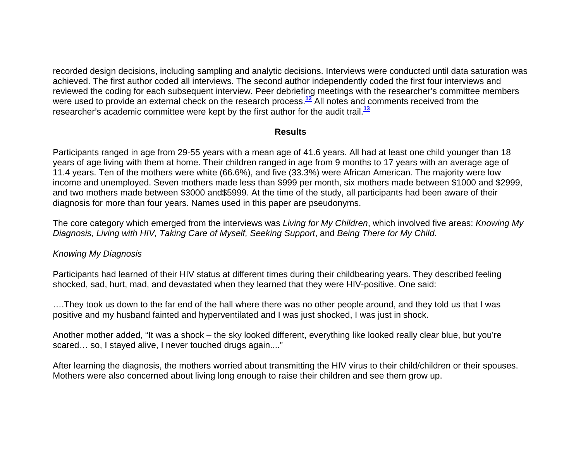recorded design decisions, including sampling and analytic decisions. Interviews were conducted until data saturation was achieved. The first author coded all interviews. The second author independently coded the first four interviews and reviewed the coding for each subsequent interview. Peer debriefing meetings with the researcher's committee members were used to provide an external check on the research process.**<sup>12</sup>** All notes and comments received from the researcher's academic committee were kept by the first author for the audit trail.**<sup>13</sup>**

#### **Results**

Participants ranged in age from 29-55 years with a mean age of 41.6 years. All had at least one child younger than 18 years of age living with them at home. Their children ranged in age from 9 months to 17 years with an average age of 11.4 years. Ten of the mothers were white (66.6%), and five (33.3%) were African American. The majority were low income and unemployed. Seven mothers made less than \$999 per month, six mothers made between \$1000 and \$2999, and two mothers made between \$3000 and\$5999. At the time of the study, all participants had been aware of their diagnosis for more than four years. Names used in this paper are pseudonyms.

The core category which emerged from the interviews was *Living for My Children*, which involved five areas: *Knowing My Diagnosis, Living with HIV, Taking Care of Myself, Seeking Support*, and *Being There for My Child*.

#### *Knowing My Diagnosis*

Participants had learned of their HIV status at different times during their childbearing years. They described feeling shocked, sad, hurt, mad, and devastated when they learned that they were HIV-positive. One said:

….They took us down to the far end of the hall where there was no other people around, and they told us that I was positive and my husband fainted and hyperventilated and I was just shocked, I was just in shock.

Another mother added, "It was a shock – the sky looked different, everything like looked really clear blue, but you're scared… so, I stayed alive, I never touched drugs again...."

After learning the diagnosis, the mothers worried about transmitting the HIV virus to their child/children or their spouses. Mothers were also concerned about living long enough to raise their children and see them grow up.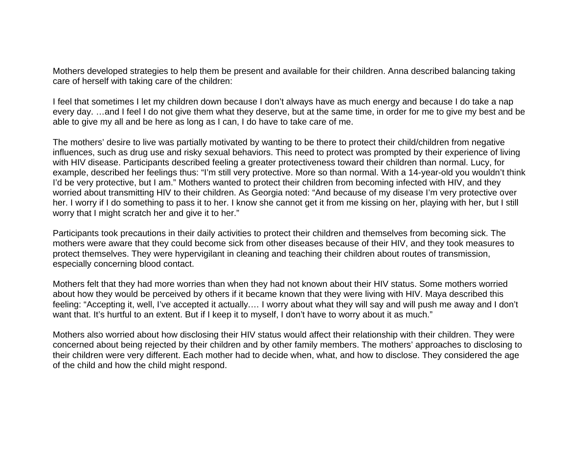Mothers developed strategies to help them be present and available for their children. Anna described balancing taking care of herself with taking care of the children:

I feel that sometimes I let my children down because I don't always have as much energy and because I do take a nap every day. …and I feel I do not give them what they deserve, but at the same time, in order for me to give my best and be able to give my all and be here as long as I can, I do have to take care of me.

The mothers' desire to live was partially motivated by wanting to be there to protect their child/children from negative influences, such as drug use and risky sexual behaviors. This need to protect was prompted by their experience of living with HIV disease. Participants described feeling a greater protectiveness toward their children than normal. Lucy, for example, described her feelings thus: "I'm still very protective. More so than normal. With a 14-year-old you wouldn't think I'd be very protective, but I am." Mothers wanted to protect their children from becoming infected with HIV, and they worried about transmitting HIV to their children. As Georgia noted: "And because of my disease I'm very protective over her. I worry if I do something to pass it to her. I know she cannot get it from me kissing on her, playing with her, but I still worry that I might scratch her and give it to her."

Participants took precautions in their daily activities to protect their children and themselves from becoming sick. The mothers were aware that they could become sick from other diseases because of their HIV, and they took measures to protect themselves. They were hypervigilant in cleaning and teaching their children about routes of transmission, especially concerning blood contact.

Mothers felt that they had more worries than when they had not known about their HIV status. Some mothers worried about how they would be perceived by others if it became known that they were living with HIV. Maya described this feeling: "Accepting it, well, I've accepted it actually.… I worry about what they will say and will push me away and I don't want that. It's hurtful to an extent. But if I keep it to myself, I don't have to worry about it as much."

Mothers also worried about how disclosing their HIV status would affect their relationship with their children. They were concerned about being rejected by their children and by other family members. The mothers' approaches to disclosing to their children were very different. Each mother had to decide when, what, and how to disclose. They considered the age of the child and how the child might respond.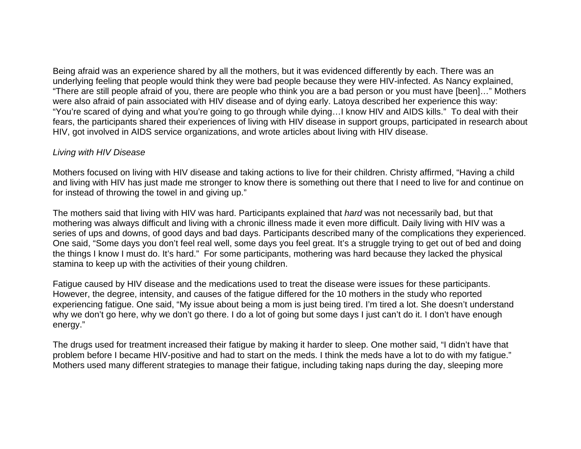Being afraid was an experience shared by all the mothers, but it was evidenced differently by each. There was an underlying feeling that people would think they were bad people because they were HIV-infected. As Nancy explained, "There are still people afraid of you, there are people who think you are a bad person or you must have [been]…" Mothers were also afraid of pain associated with HIV disease and of dying early. Latoya described her experience this way: "You're scared of dying and what you're going to go through while dying…I know HIV and AIDS kills." To deal with their fears, the participants shared their experiences of living with HIV disease in support groups, participated in research about HIV, got involved in AIDS service organizations, and wrote articles about living with HIV disease.

## *Living with HIV Disease*

Mothers focused on living with HIV disease and taking actions to live for their children. Christy affirmed, "Having a child and living with HIV has just made me stronger to know there is something out there that I need to live for and continue on for instead of throwing the towel in and giving up."

The mothers said that living with HIV was hard. Participants explained that *hard* was not necessarily bad, but that mothering was always difficult and living with a chronic illness made it even more difficult. Daily living with HIV was a series of ups and downs, of good days and bad days. Participants described many of the complications they experienced. One said, "Some days you don't feel real well, some days you feel great. It's a struggle trying to get out of bed and doing the things I know I must do. It's hard." For some participants, mothering was hard because they lacked the physical stamina to keep up with the activities of their young children.

Fatigue caused by HIV disease and the medications used to treat the disease were issues for these participants. However, the degree, intensity, and causes of the fatigue differed for the 10 mothers in the study who reported experiencing fatigue. One said, "My issue about being a mom is just being tired. I'm tired a lot. She doesn't understand why we don't go here, why we don't go there. I do a lot of going but some days I just can't do it. I don't have enough energy."

The drugs used for treatment increased their fatigue by making it harder to sleep. One mother said, "I didn't have that problem before I became HIV-positive and had to start on the meds. I think the meds have a lot to do with my fatigue." Mothers used many different strategies to manage their fatigue, including taking naps during the day, sleeping more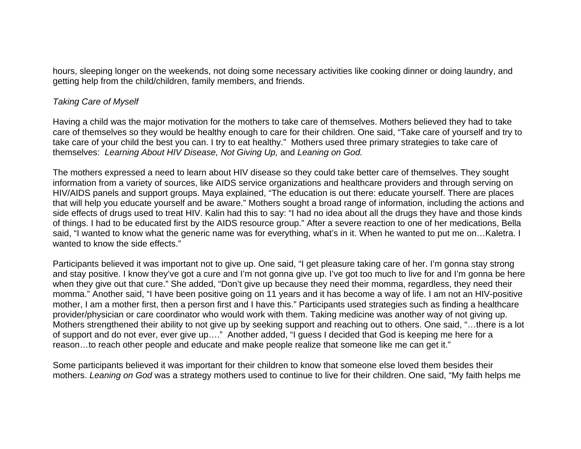hours, sleeping longer on the weekends, not doing some necessary activities like cooking dinner or doing laundry, and getting help from the child/children, family members, and friends.

#### *Taking Care of Myself*

Having a child was the major motivation for the mothers to take care of themselves. Mothers believed they had to take care of themselves so they would be healthy enough to care for their children. One said, "Take care of yourself and try to take care of your child the best you can. I try to eat healthy." Mothers used three primary strategies to take care of themselves: *Learning About HIV Disease, Not Giving Up,* and *Leaning on God.* 

The mothers expressed a need to learn about HIV disease so they could take better care of themselves. They sought information from a variety of sources, like AIDS service organizations and healthcare providers and through serving on HIV/AIDS panels and support groups. Maya explained, "The education is out there: educate yourself. There are places that will help you educate yourself and be aware." Mothers sought a broad range of information, including the actions and side effects of drugs used to treat HIV. Kalin had this to say: "I had no idea about all the drugs they have and those kinds of things. I had to be educated first by the AIDS resource group." After a severe reaction to one of her medications, Bella said, "I wanted to know what the generic name was for everything, what's in it. When he wanted to put me on…Kaletra. I wanted to know the side effects."

Participants believed it was important not to give up. One said, "I get pleasure taking care of her. I'm gonna stay strong and stay positive. I know they've got a cure and I'm not gonna give up. I've got too much to live for and I'm gonna be here when they give out that cure." She added, "Don't give up because they need their momma, regardless, they need their momma." Another said, "I have been positive going on 11 years and it has become a way of life. I am not an HIV-positive mother, I am a mother first, then a person first and I have this." Participants used strategies such as finding a healthcare provider/physician or care coordinator who would work with them. Taking medicine was another way of not giving up. Mothers strengthened their ability to not give up by seeking support and reaching out to others. One said, "…there is a lot of support and do not ever, ever give up…." Another added, "I guess I decided that God is keeping me here for a reason…to reach other people and educate and make people realize that someone like me can get it."

Some participants believed it was important for their children to know that someone else loved them besides their mothers. *Leaning on God* was a strategy mothers used to continue to live for their children. One said, "My faith helps me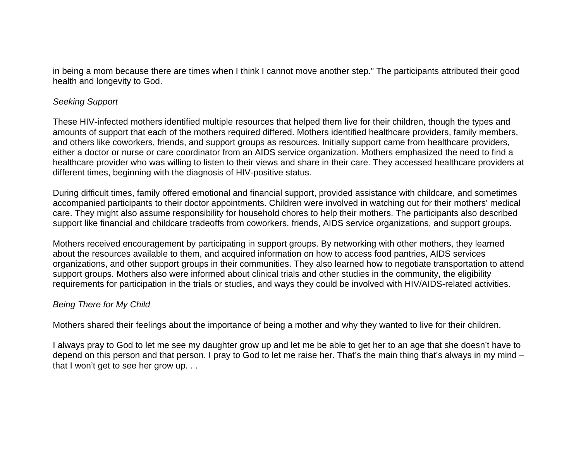in being a mom because there are times when I think I cannot move another step." The participants attributed their good health and longevity to God.

## *Seeking Support*

These HIV-infected mothers identified multiple resources that helped them live for their children, though the types and amounts of support that each of the mothers required differed. Mothers identified healthcare providers, family members, and others like coworkers, friends, and support groups as resources. Initially support came from healthcare providers, either a doctor or nurse or care coordinator from an AIDS service organization. Mothers emphasized the need to find a healthcare provider who was willing to listen to their views and share in their care. They accessed healthcare providers at different times, beginning with the diagnosis of HIV-positive status.

During difficult times, family offered emotional and financial support, provided assistance with childcare, and sometimes accompanied participants to their doctor appointments. Children were involved in watching out for their mothers' medical care. They might also assume responsibility for household chores to help their mothers. The participants also described support like financial and childcare tradeoffs from coworkers, friends, AIDS service organizations, and support groups.

Mothers received encouragement by participating in support groups. By networking with other mothers, they learned about the resources available to them, and acquired information on how to access food pantries, AIDS services organizations, and other support groups in their communities. They also learned how to negotiate transportation to attend support groups. Mothers also were informed about clinical trials and other studies in the community, the eligibility requirements for participation in the trials or studies, and ways they could be involved with HIV/AIDS-related activities.

# *Being There for My Child*

Mothers shared their feelings about the importance of being a mother and why they wanted to live for their children.

I always pray to God to let me see my daughter grow up and let me be able to get her to an age that she doesn't have to depend on this person and that person. I pray to God to let me raise her. That's the main thing that's always in my mind – that I won't get to see her grow up. . .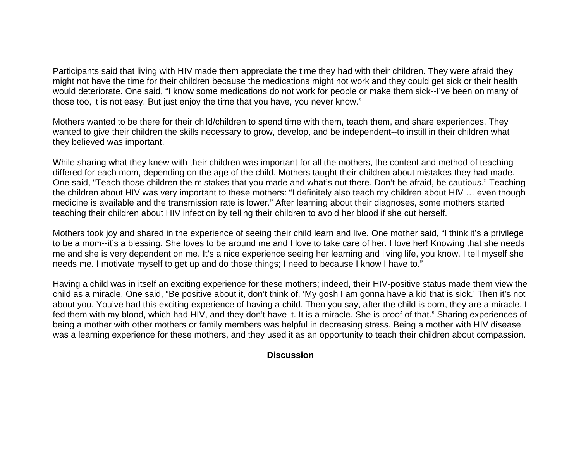Participants said that living with HIV made them appreciate the time they had with their children. They were afraid they might not have the time for their children because the medications might not work and they could get sick or their health would deteriorate. One said, "I know some medications do not work for people or make them sick--I've been on many of those too, it is not easy. But just enjoy the time that you have, you never know."

Mothers wanted to be there for their child/children to spend time with them, teach them, and share experiences. They wanted to give their children the skills necessary to grow, develop, and be independent--to instill in their children what they believed was important.

While sharing what they knew with their children was important for all the mothers, the content and method of teaching differed for each mom, depending on the age of the child. Mothers taught their children about mistakes they had made. One said, "Teach those children the mistakes that you made and what's out there. Don't be afraid, be cautious." Teaching the children about HIV was very important to these mothers: "I definitely also teach my children about HIV … even though medicine is available and the transmission rate is lower." After learning about their diagnoses, some mothers started teaching their children about HIV infection by telling their children to avoid her blood if she cut herself.

Mothers took joy and shared in the experience of seeing their child learn and live. One mother said, "I think it's a privilege to be a mom--it's a blessing. She loves to be around me and I love to take care of her. I love her! Knowing that she needs me and she is very dependent on me. It's a nice experience seeing her learning and living life, you know. I tell myself she needs me. I motivate myself to get up and do those things; I need to because I know I have to."

Having a child was in itself an exciting experience for these mothers; indeed, their HIV-positive status made them view the child as a miracle. One said, "Be positive about it, don't think of, 'My gosh I am gonna have a kid that is sick.' Then it's not about you. You've had this exciting experience of having a child. Then you say, after the child is born, they are a miracle. I fed them with my blood, which had HIV, and they don't have it. It is a miracle. She is proof of that." Sharing experiences of being a mother with other mothers or family members was helpful in decreasing stress. Being a mother with HIV disease was a learning experience for these mothers, and they used it as an opportunity to teach their children about compassion.

# **Discussion**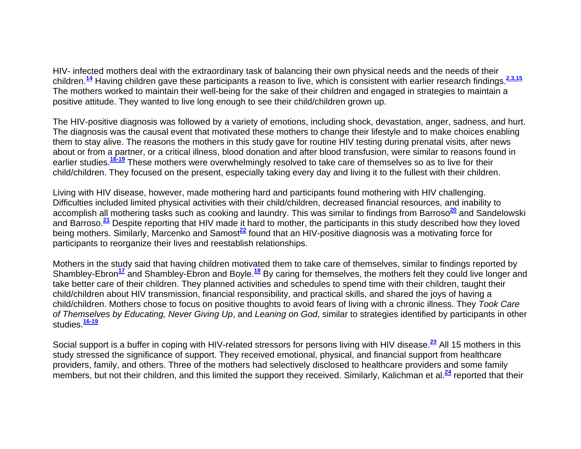HIV- infected mothers deal with the extraordinary task of balancing their own physical needs and the needs of their children.**<sup>14</sup>** Having children gave these participants a reason to live, which is consistent with earlier research findings.**2,3,15** The mothers worked to maintain their well-being for the sake of their children and engaged in strategies to maintain a positive attitude. They wanted to live long enough to see their child/children grown up.

The HIV-positive diagnosis was followed by a variety of emotions, including shock, devastation, anger, sadness, and hurt. The diagnosis was the causal event that motivated these mothers to change their lifestyle and to make choices enabling them to stay alive. The reasons the mothers in this study gave for routine HIV testing during prenatal visits, after news about or from a partner, or a critical illness, blood donation and after blood transfusion, were similar to reasons found in earlier studies.**16-19** These mothers were overwhelmingly resolved to take care of themselves so as to live for their child/children. They focused on the present, especially taking every day and living it to the fullest with their children.

Living with HIV disease, however, made mothering hard and participants found mothering with HIV challenging. Difficulties included limited physical activities with their child/children, decreased financial resources, and inability to accomplish all mothering tasks such as cooking and laundry. This was similar to findings from Barroso**<sup>20</sup>** and Sandelowski and Barroso.**<sup>21</sup>** Despite reporting that HIV made it hard to mother, the participants in this study described how they loved being mothers. Similarly, Marcenko and Samost**<sup>22</sup>** found that an HIV-positive diagnosis was a motivating force for participants to reorganize their lives and reestablish relationships.

Mothers in the study said that having children motivated them to take care of themselves, similar to findings reported by Shambley-Ebron**<sup>17</sup>** and Shambley-Ebron and Boyle.**<sup>18</sup>** By caring for themselves, the mothers felt they could live longer and take better care of their children. They planned activities and schedules to spend time with their children, taught their child/children about HIV transmission, financial responsibility, and practical skills, and shared the joys of having a child/children. Mothers chose to focus on positive thoughts to avoid fears of living with a chronic illness. They *Took Care of Themselves by Educating, Never Giving Up*, and *Leaning on God*, similar to strategies identified by participants in other studies.**16-19**

Social support is a buffer in coping with HIV-related stressors for persons living with HIV disease.**<sup>23</sup>** All 15 mothers in this study stressed the significance of support. They received emotional, physical, and financial support from healthcare providers, family, and others. Three of the mothers had selectively disclosed to healthcare providers and some family members, but not their children, and this limited the support they received. Similarly, Kalichman et al.**<sup>24</sup>** reported that their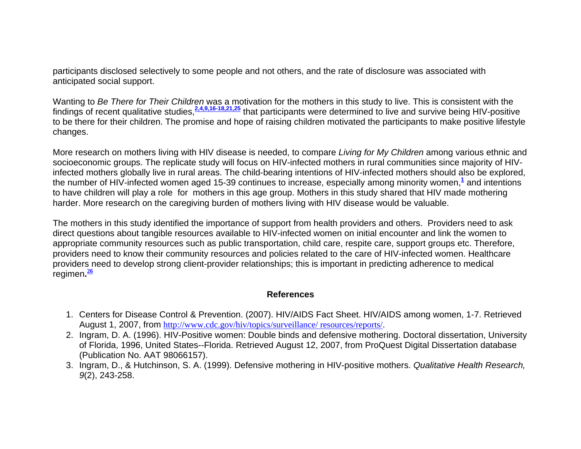participants disclosed selectively to some people and not others, and the rate of disclosure was associated with anticipated social support.

Wanting to *Be There for Their Children* was a motivation for the mothers in this study to live. This is consistent with the findings of recent qualitative studies,**2,4,9,16-18,21,25** that participants were determined to live and survive being HIV-positive to be there for their children. The promise and hope of raising children motivated the participants to make positive lifestyle changes.

More research on mothers living with HIV disease is needed, to compare *Living for My Children* among various ethnic and socioeconomic groups. The replicate study will focus on HIV-infected mothers in rural communities since majority of HIVinfected mothers globally live in rural areas. The child-bearing intentions of HIV-infected mothers should also be explored, the number of HIV-infected women aged 15-39 continues to increase, especially among minority women,**<sup>1</sup>** and intentions to have children will play a role for mothers in this age group. Mothers in this study shared that HIV made mothering harder. More research on the caregiving burden of mothers living with HIV disease would be valuable.

The mothers in this study identified the importance of support from health providers and others. Providers need to ask direct questions about tangible resources available to HIV-infected women on initial encounter and link the women to appropriate community resources such as public transportation, child care, respite care, support groups etc. Therefore, providers need to know their community resources and policies related to the care of HIV-infected women. Healthcare providers need to develop strong client-provider relationships; this is important in predicting adherence to medical regimen**.<sup>26</sup>**

#### **References**

- 1. Centers for Disease Control & Prevention. (2007). HIV/AIDS Fact Sheet. HIV/AIDS among women, 1-7. Retrieved August 1, 2007, from http://www.cdc.gov/hiv/topics/surveillance/ resources/reports/.
- 2. Ingram, D. A. (1996). HIV-Positive women: Double binds and defensive mothering. Doctoral dissertation, University of Florida, 1996, United States--Florida. Retrieved August 12, 2007, from ProQuest Digital Dissertation database (Publication No. AAT 98066157).
- 3. Ingram, D., & Hutchinson, S. A. (1999). Defensive mothering in HIV-positive mothers. *Qualitative Health Research, 9*(2), 243-258.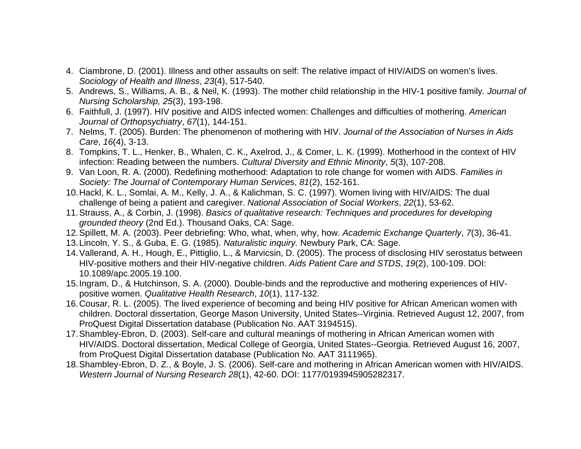- 4. Ciambrone, D. (2001). Illness and other assaults on self: The relative impact of HIV/AIDS on women's lives. *Sociology of Health and Illness*, *23*(4), 517-540.
- 5. Andrews, S., Williams, A. B., & Neil, K. (1993). The mother child relationship in the HIV-1 positive family*. Journal of Nursing Scholarship, 25*(3), 193-198.
- 6. Faithfull, J. (1997). HIV positive and AIDS infected women: Challenges and difficulties of mothering. *American Journal of Orthopsychiatry*, *67*(1), 144-151.
- 7. Nelms, T. (2005). Burden: The phenomenon of mothering with HIV. *Journal of the Association of Nurses in Aids Care*, *16*(4), 3-13.
- 8. Tompkins, T. L., Henker, B., Whalen, C. K., Axelrod, J., & Comer, L. K. (1999). Motherhood in the context of HIV infection: Reading between the numbers. *Cultural Diversity and Ethnic Minority*, *5*(3), 107-208.
- 9. Van Loon, R. A. (2000). Redefining motherhood: Adaptation to role change for women with AIDS. *Families in Society: The Journal of Contemporary Human Service*s, *81*(2), 152-161.
- 10. Hackl, K. L., Somlai, A. M., Kelly, J. A., & Kalichman, S. C. (1997). Women living with HIV/AIDS: The dual challenge of being a patient and caregiver. *National Association of Social Workers*, *22*(1), 53-62.
- 11. Strauss, A., & Corbin, J. (1998). *Basics of qualitative research: Techniques and procedures for developing grounded theory* (2nd Ed.). Thousand Oaks, CA: Sage.
- 12. Spillett, M. A. (2003). Peer debriefing: Who, what, when, why, how. *Academic Exchange Quarterly*, *7*(3), 36-41.
- 13. Lincoln, Y. S., & Guba, E. G. (1985). *Naturalistic inquiry.* Newbury Park, CA: Sage.
- 14. Vallerand, A. H., Hough, E., Pittiglio, L., & Marvicsin, D. (2005). The process of disclosing HIV serostatus between HIV-positive mothers and their HIV-negative children. *Aids Patient Care and STDS*, *19*(2), 100-109. DOI: 10.1089/apc.2005.19.100.
- 15. Ingram, D., & Hutchinson, S. A. (2000). Double-binds and the reproductive and mothering experiences of HIVpositive women. *Qualitative Health Research*, *10*(1), 117-132.
- 16. Cousar, R. L. (2005). The lived experience of becoming and being HIV positive for African American women with children. Doctoral dissertation, George Mason University, United States--Virginia. Retrieved August 12, 2007, from ProQuest Digital Dissertation database (Publication No. AAT 3194515).
- 17. Shambley-Ebron, D. (2003). Self-care and cultural meanings of mothering in African American women with HIV/AIDS. Doctoral dissertation, Medical College of Georgia, United States--Georgia. Retrieved August 16, 2007, from ProQuest Digital Dissertation database (Publication No. AAT 3111965).
- 18. Shambley-Ebron, D. Z., & Boyle, J. S. (2006). Self-care and mothering in African American women with HIV/AIDS. *Western Journal of Nursing Research 28*(1), 42-60. DOI: 1177/0193945905282317.